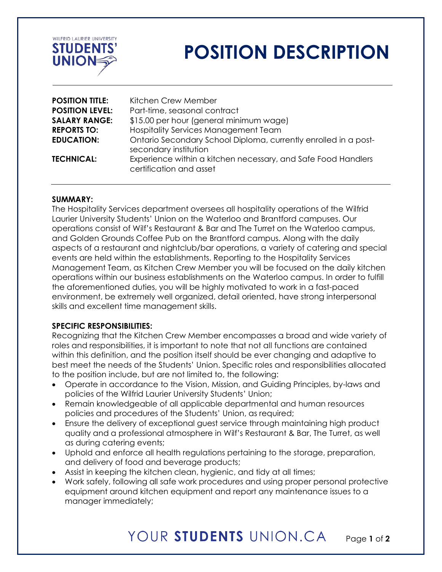

# **POSITION DESCRIPTION**

| <b>POSITION TITLE:</b> | Kitchen Crew Member                                                                      |
|------------------------|------------------------------------------------------------------------------------------|
| <b>POSITION LEVEL:</b> | Part-time, seasonal contract                                                             |
| <b>SALARY RANGE:</b>   | \$15.00 per hour (general minimum wage)                                                  |
| <b>REPORTS TO:</b>     | <b>Hospitality Services Management Team</b>                                              |
| <b>EDUCATION:</b>      | Ontario Secondary School Diploma, currently enrolled in a post-<br>secondary institution |
| <b>TECHNICAL:</b>      | Experience within a kitchen necessary, and Safe Food Handlers<br>certification and asset |

### **SUMMARY:**

The Hospitality Services department oversees all hospitality operations of the Wilfrid Laurier University Students' Union on the Waterloo and Brantford campuses. Our operations consist of Wilf's Restaurant & Bar and The Turret on the Waterloo campus, and Golden Grounds Coffee Pub on the Brantford campus. Along with the daily aspects of a restaurant and nightclub/bar operations, a variety of catering and special events are held within the establishments. Reporting to the Hospitality Services Management Team, as Kitchen Crew Member you will be focused on the daily kitchen operations within our business establishments on the Waterloo campus. In order to fulfill the aforementioned duties, you will be highly motivated to work in a fast-paced environment, be extremely well organized, detail oriented, have strong interpersonal skills and excellent time management skills.

### **SPECIFIC RESPONSIBILITIES:**

Recognizing that the Kitchen Crew Member encompasses a broad and wide variety of roles and responsibilities, it is important to note that not all functions are contained within this definition, and the position itself should be ever changing and adaptive to best meet the needs of the Students' Union. Specific roles and responsibilities allocated to the position include, but are not limited to, the following:

- Operate in accordance to the Vision, Mission, and Guiding Principles, by-laws and policies of the Wilfrid Laurier University Students' Union;
- Remain knowledgeable of all applicable departmental and human resources policies and procedures of the Students' Union, as required;
- Ensure the delivery of exceptional guest service through maintaining high product quality and a professional atmosphere in Wilf's Restaurant & Bar, The Turret, as well as during catering events;
- Uphold and enforce all health regulations pertaining to the storage, preparation, and delivery of food and beverage products;
- Assist in keeping the kitchen clean, hygienic, and tidy at all times;
- Work safely, following all safe work procedures and using proper personal protective equipment around kitchen equipment and report any maintenance issues to a manager immediately;

#### YOUR STUDENTS UNION.CA Page **1** of **2**